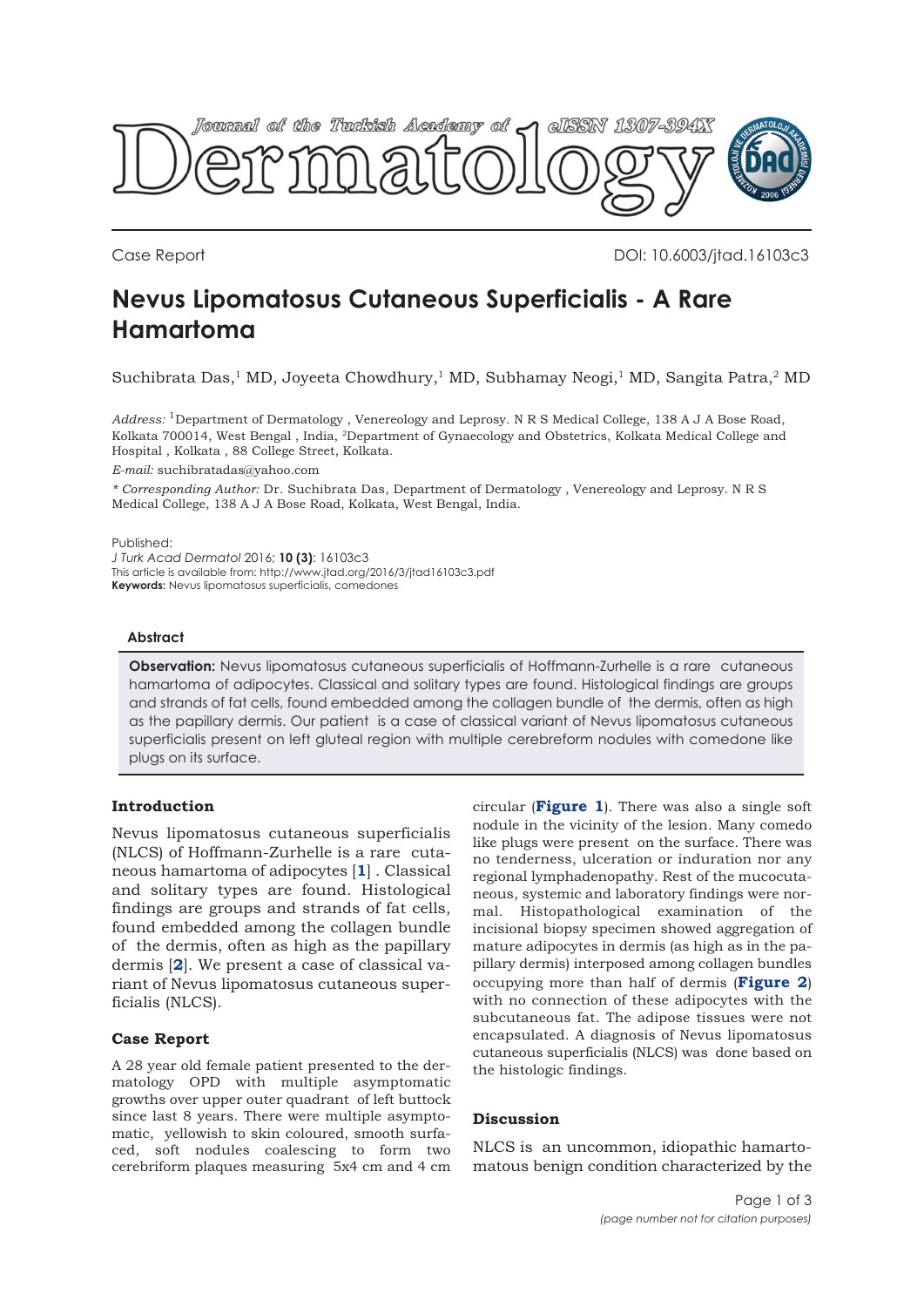

Case Report DOI: 10.6003/jtad.16103c3

# **Nevus Lipomatosus Cutaneous Superficialis - A Rare Hamartoma**

Suchibrata Das,<sup>1</sup> MD, Joyeeta Chowdhury,<sup>1</sup> MD, Subhamay Neogi,<sup>1</sup> MD, Sangita Patra,<sup>2</sup> MD

*Address:* 1Department of Dermatology , Venereology and Leprosy. N R S Medical College, 138 A J A Bose Road, Kolkata 700014, West Bengal , India, 2Department of Gynaecology and Obstetrics, Kolkata Medical College and Hospital , Kolkata , 88 College Street, Kolkata.

*E-mail:* suchibratadas@yahoo.com

*\* Corresponding Author:* Dr. Suchibrata Das, Department of Dermatology , Venereology and Leprosy. N R S Medical College, 138 A J A Bose Road, Kolkata, West Bengal, India.

Published:

*J Turk Acad Dermatol* 2016; **10 (3)**: 16103c3 This article is available from: http://www.jtad.org/2016/3/jtad16103c3.pdf **Keywords:** Nevus lipomatosus superficialis, comedones

### **Abstract**

**Observation:** Nevus lipomatosus cutaneous superficialis of Hoffmann-Zurhelle is a rare cutaneous hamartoma of adipocytes. Classical and solitary types are found. Histological findings are groups and strands of fat cells, found embedded among the collagen bundle of the dermis, often as high as the papillary dermis. Our patient is a case of classical variant of Nevus lipomatosus cutaneous superficialis present on left gluteal region with multiple cerebreform nodules with comedone like plugs on its surface.

## **Introduction**

Nevus lipomatosus cutaneous superficialis (NLCS) of Hoffmann-Zurhelle is a rare cutaneous hamartoma of adipocytes [**[1](#page-2-0)**] . Classical and solitary types are found. Histological findings are groups and strands of fat cells, found embedded among the collagen bundle of the dermis, often as high as the papillary dermis [**[2](#page-2-0)**]. We present a case of classical variant of Nevus lipomatosus cutaneous superficialis (NLCS).

### **Case Report**

A 28 year old female patient presented to the dermatology OPD with multiple asymptomatic growths over upper outer quadrant of left buttock since last 8 years. There were multiple asymptomatic, yellowish to skin coloured, smooth surfaced, soft nodules coalescing to form two cerebriform plaques measuring 5x4 cm and 4 cm

circular (**[Figure 1](#page-1-0)**). There was also a single soft nodule in the vicinity of the lesion. Many comedo like plugs were present on the surface. There was no tenderness, ulceration or induration nor any regional lymphadenopathy. Rest of the mucocutaneous, systemic and laboratory findings were normal. Histopathological examination of the incisional biopsy specimen showed aggregation of mature adipocytes in dermis (as high as in the papillary dermis) interposed among collagen bundles occupying more than half of dermis (**[Figure 2](#page-1-0)**) with no connection of these adipocytes with the subcutaneous fat. The adipose tissues were not encapsulated. A diagnosis of Nevus lipomatosus cutaneous superficialis (NLCS) was done based on the histologic findings.

### **Discussion**

NLCS is an uncommon, idiopathic hamartomatous benign condition characterized by the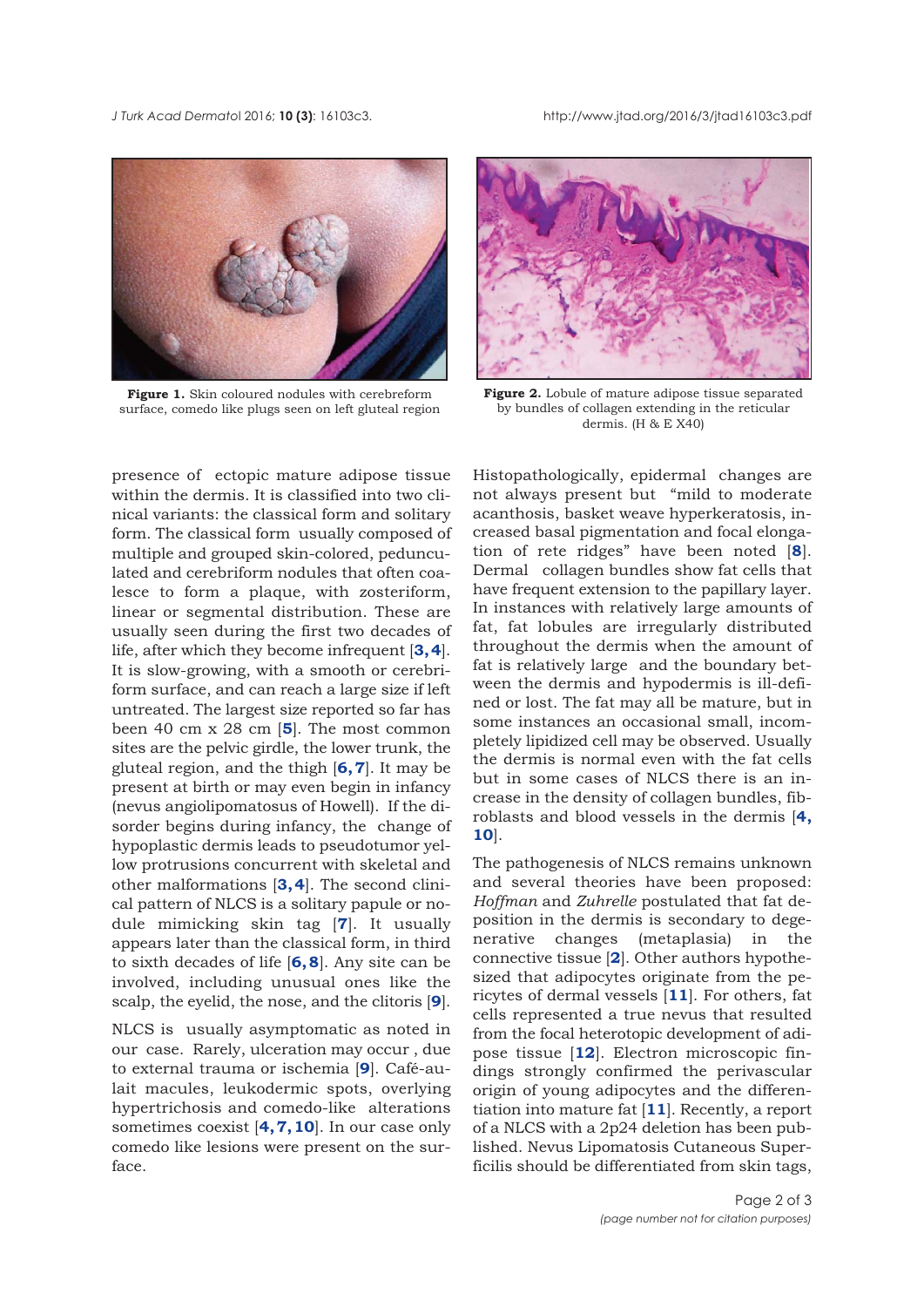<span id="page-1-0"></span>

**Figure 1.** Skin coloured nodules with cerebreform surface, comedo like plugs seen on left gluteal region



**Figure 2.** Lobule of mature adipose tissue separated by bundles of collagen extending in the reticular dermis. (H & E X40)

presence of ectopic mature adipose tissue within the dermis. It is classified into two clinical variants: the classical form and solitary form. The classical form usually composed of multiple and grouped skin-colored, pedunculated and cerebriform nodules that often coalesce to form a plaque, with zosteriform, linear or segmental distribution. These are usually seen during the first two decades of life, after which they become infrequent [**[3, 4](#page-2-0)**]. It is slow-growing, with a smooth or cerebriform surface, and can reach a large size if left untreated. The largest size reported so far has been 40 cm x 28 cm [**[5](#page-2-0)**]. The most common sites are the pelvic girdle, the lower trunk, the gluteal region, and the thigh [**[6, 7](#page-2-0)**]. It may be present at birth or may even begin in infancy (nevus angiolipomatosus of Howell). If the disorder begins during infancy, the change of hypoplastic dermis leads to pseudotumor yellow protrusions concurrent with skeletal and other malformations [**[3, 4](#page-2-0)**]. The second clinical pattern of NLCS is a solitary papule or nodule mimicking skin tag [**[7](#page-2-0)**]. It usually appears later than the classical form, in third to sixth decades of life [**[6, 8](#page-2-0)**]. Any site can be involved, including unusual ones like the scalp, the eyelid, the nose, and the clitoris [**[9](#page-2-0)**].

NLCS is usually asymptomatic as noted in our case. Rarely, ulceration may occur , due to external trauma or ischemia [**[9](#page-2-0)**]. Café-aulait macules, leukodermic spots, overlying hypertrichosis and comedo-like alterations sometimes coexist [**[4, 7, 10](#page-2-0)**]. In our case only comedo like lesions were present on the surface.

Histopathologically, epidermal changes are not always present but "mild to moderate acanthosis, basket weave hyperkeratosis, increased basal pigmentation and focal elongation of rete ridges" have been noted [**[8](#page-2-0)**]. Dermal collagen bundles show fat cells that have frequent extension to the papillary layer. In instances with relatively large amounts of fat, fat lobules are irregularly distributed throughout the dermis when the amount of fat is relatively large and the boundary between the dermis and hypodermis is ill-defined or lost. The fat may all be mature, but in some instances an occasional small, incompletely lipidized cell may be observed. Usually the dermis is normal even with the fat cells but in some cases of NLCS there is an increase in the density of collagen bundles, fibroblasts and blood vessels in the dermis [**[4,](#page-2-0) [10](#page-2-0)**].

The pathogenesis of NLCS remains unknown and several theories have been proposed: *Hoffman* and *Zuhrelle* postulated that fat deposition in the dermis is secondary to degenerative changes (metaplasia) in the connective tissue [**[2](#page-2-0)**]. Other authors hypothesized that adipocytes originate from the pericytes of dermal vessels [**[11](#page-2-0)**]. For others, fat cells represented a true nevus that resulted from the focal heterotopic development of adipose tissue [**[12](#page-2-0)**]. Electron microscopic findings strongly confirmed the perivascular origin of young adipocytes and the differentiation into mature fat [**[11](#page-2-0)**]. Recently, a report of a NLCS with a 2p24 deletion has been published. Nevus Lipomatosis Cutaneous Superficilis should be differentiated from skin tags,